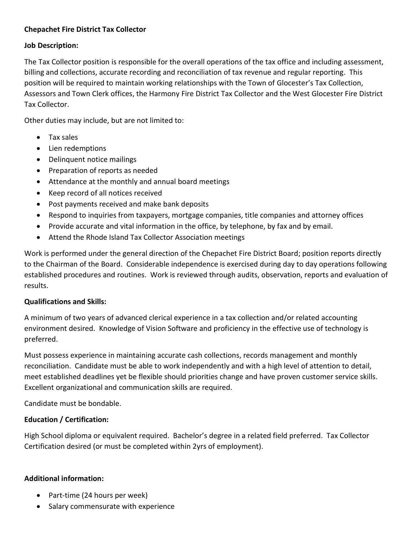# Chepachet Fire District Tax Collector

#### Job Description:

The Tax Collector position is responsible for the overall operations of the tax office and including assessment, billing and collections, accurate recording and reconciliation of tax revenue and regular reporting. This position will be required to maintain working relationships with the Town of Glocester's Tax Collection, Assessors and Town Clerk offices, the Harmony Fire District Tax Collector and the West Glocester Fire District Tax Collector.

Other duties may include, but are not limited to:

- Tax sales
- Lien redemptions
- Delinquent notice mailings
- Preparation of reports as needed
- Attendance at the monthly and annual board meetings
- Keep record of all notices received
- Post payments received and make bank deposits
- Respond to inquiries from taxpayers, mortgage companies, title companies and attorney offices
- Provide accurate and vital information in the office, by telephone, by fax and by email.
- Attend the Rhode Island Tax Collector Association meetings

Work is performed under the general direction of the Chepachet Fire District Board; position reports directly to the Chairman of the Board. Considerable independence is exercised during day to day operations following established procedures and routines. Work is reviewed through audits, observation, reports and evaluation of results.

# Qualifications and Skills:

A minimum of two years of advanced clerical experience in a tax collection and/or related accounting environment desired. Knowledge of Vision Software and proficiency in the effective use of technology is preferred.

Must possess experience in maintaining accurate cash collections, records management and monthly reconciliation. Candidate must be able to work independently and with a high level of attention to detail, meet established deadlines yet be flexible should priorities change and have proven customer service skills. Excellent organizational and communication skills are required.

Candidate must be bondable.

# Education / Certification:

High School diploma or equivalent required. Bachelor's degree in a related field preferred. Tax Collector Certification desired (or must be completed within 2yrs of employment).

# Additional information:

- Part-time (24 hours per week)
- Salary commensurate with experience